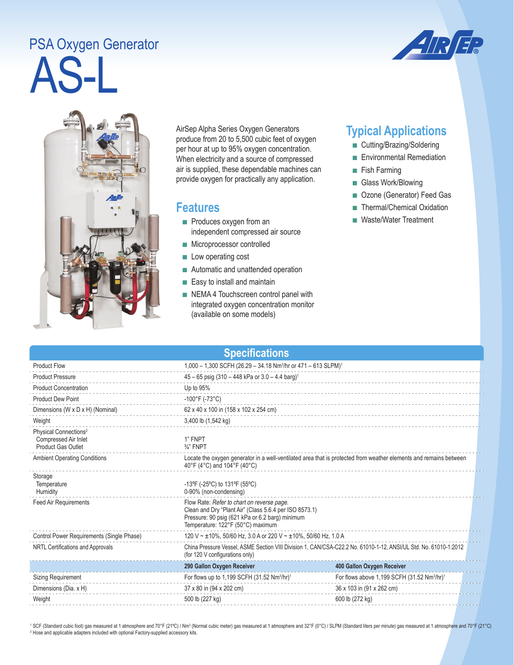## AS-L PSA Oxygen Generator





AirSep Alpha Series Oxygen Generators produce from 20 to 5,500 cubic feet of oxygen per hour at up to 95% oxygen concentration. When electricity and a source of compressed air is supplied, these dependable machines can provide oxygen for practically any application.

## **Features**

- Produces oxygen from an independent compressed air source
- Microprocessor controlled
- Low operating cost
- Automatic and unattended operation
- Easy to install and maintain
- NEMA 4 Touchscreen control panel with integrated oxygen concentration monitor (available on some models)

## **Typical Applications**

- Cutting/Brazing/Soldering
- Environmental Remediation
- Fish Farming
- Glass Work/Blowing
- Ozone (Generator) Feed Gas
- Thermal/Chemical Oxidation
- Waste/Water Treatment

| <b>Product Flow</b><br>1,000 - 1,300 SCFH (26.29 - 34.18 Nm <sup>3</sup> /hr or 471 - 613 SLPM) <sup>1</sup><br>$45 - 65$ psig (310 - 448 kPa or 3.0 - 4.4 barg) <sup>1</sup><br><b>Product Pressure</b><br>Up to 95%<br><b>Product Concentration</b><br><b>Product Dew Point</b><br>$-100^{\circ}$ F (-73°C)<br>Dimensions (W x D x H) (Nominal)<br>62 x 40 x 100 in (158 x 102 x 254 cm)<br>3,400 lb (1,542 kg)<br>Weight<br>Physical Connections <sup>2</sup><br>Compressed Air Inlet<br>1" FNPT<br><b>Product Gas Outlet</b><br>$\frac{3}{4}$ " FNPT<br><b>Ambient Operating Conditions</b><br>Locate the oxygen generator in a well-ventilated area that is protected from weather elements and remains between<br>40°F (4°C) and 104°F (40°C)<br>Storage<br>-13°F (-25°C) to 131°F (55°C)<br>Temperature<br>0-90% (non-condensing)<br>Humidity<br>Flow Rate: Refer to chart on reverse page.<br><b>Feed Air Requirements</b><br>Clean and Dry "Plant Air" (Class 5.6.4 per ISO 8573.1)<br>Pressure: 90 psig (621 kPa or 6.2 barg) minimum<br>Temperature: 122°F (50°C) maximum<br>Control Power Requirements (Single Phase)<br>120 V ~ ±10%, 50/60 Hz, 3.0 A or 220 V ~ ±10%, 50/60 Hz, 1.0 A<br>China Pressure Vessel, ASME Section VIII Division 1, CAN/CSA-C22.2 No. 61010-1-12, ANSI/UL Std. No. 61010-1:2012<br>NRTL Certifications and Approvals<br>(for 120 V configurations only)<br>290 Gallon Oxygen Receiver<br>400 Gallon Oxygen Receiver<br>For flows up to 1,199 SCFH (31.52 Nm <sup>3</sup> /hr) <sup>1</sup><br><b>Sizing Requirement</b><br>For flows above 1,199 SCFH (31.52 Nm <sup>3</sup> /hr) <sup>1</sup><br>Dimensions (Dia. x H)<br>37 x 80 in (94 x 202 cm)<br>36 x 103 in (91 x 262 cm)<br>600 lb (272 kg)<br>Weight<br>500 lb (227 kg) | <b>Specifications</b> |  |  |  |  |
|--------------------------------------------------------------------------------------------------------------------------------------------------------------------------------------------------------------------------------------------------------------------------------------------------------------------------------------------------------------------------------------------------------------------------------------------------------------------------------------------------------------------------------------------------------------------------------------------------------------------------------------------------------------------------------------------------------------------------------------------------------------------------------------------------------------------------------------------------------------------------------------------------------------------------------------------------------------------------------------------------------------------------------------------------------------------------------------------------------------------------------------------------------------------------------------------------------------------------------------------------------------------------------------------------------------------------------------------------------------------------------------------------------------------------------------------------------------------------------------------------------------------------------------------------------------------------------------------------------------------------------------------------------------------------------------------------------------------------------------------------------------------------|-----------------------|--|--|--|--|
|                                                                                                                                                                                                                                                                                                                                                                                                                                                                                                                                                                                                                                                                                                                                                                                                                                                                                                                                                                                                                                                                                                                                                                                                                                                                                                                                                                                                                                                                                                                                                                                                                                                                                                                                                                          |                       |  |  |  |  |
|                                                                                                                                                                                                                                                                                                                                                                                                                                                                                                                                                                                                                                                                                                                                                                                                                                                                                                                                                                                                                                                                                                                                                                                                                                                                                                                                                                                                                                                                                                                                                                                                                                                                                                                                                                          |                       |  |  |  |  |
|                                                                                                                                                                                                                                                                                                                                                                                                                                                                                                                                                                                                                                                                                                                                                                                                                                                                                                                                                                                                                                                                                                                                                                                                                                                                                                                                                                                                                                                                                                                                                                                                                                                                                                                                                                          |                       |  |  |  |  |
|                                                                                                                                                                                                                                                                                                                                                                                                                                                                                                                                                                                                                                                                                                                                                                                                                                                                                                                                                                                                                                                                                                                                                                                                                                                                                                                                                                                                                                                                                                                                                                                                                                                                                                                                                                          |                       |  |  |  |  |
|                                                                                                                                                                                                                                                                                                                                                                                                                                                                                                                                                                                                                                                                                                                                                                                                                                                                                                                                                                                                                                                                                                                                                                                                                                                                                                                                                                                                                                                                                                                                                                                                                                                                                                                                                                          |                       |  |  |  |  |
|                                                                                                                                                                                                                                                                                                                                                                                                                                                                                                                                                                                                                                                                                                                                                                                                                                                                                                                                                                                                                                                                                                                                                                                                                                                                                                                                                                                                                                                                                                                                                                                                                                                                                                                                                                          |                       |  |  |  |  |
|                                                                                                                                                                                                                                                                                                                                                                                                                                                                                                                                                                                                                                                                                                                                                                                                                                                                                                                                                                                                                                                                                                                                                                                                                                                                                                                                                                                                                                                                                                                                                                                                                                                                                                                                                                          |                       |  |  |  |  |
|                                                                                                                                                                                                                                                                                                                                                                                                                                                                                                                                                                                                                                                                                                                                                                                                                                                                                                                                                                                                                                                                                                                                                                                                                                                                                                                                                                                                                                                                                                                                                                                                                                                                                                                                                                          |                       |  |  |  |  |
|                                                                                                                                                                                                                                                                                                                                                                                                                                                                                                                                                                                                                                                                                                                                                                                                                                                                                                                                                                                                                                                                                                                                                                                                                                                                                                                                                                                                                                                                                                                                                                                                                                                                                                                                                                          |                       |  |  |  |  |
|                                                                                                                                                                                                                                                                                                                                                                                                                                                                                                                                                                                                                                                                                                                                                                                                                                                                                                                                                                                                                                                                                                                                                                                                                                                                                                                                                                                                                                                                                                                                                                                                                                                                                                                                                                          |                       |  |  |  |  |
|                                                                                                                                                                                                                                                                                                                                                                                                                                                                                                                                                                                                                                                                                                                                                                                                                                                                                                                                                                                                                                                                                                                                                                                                                                                                                                                                                                                                                                                                                                                                                                                                                                                                                                                                                                          |                       |  |  |  |  |
|                                                                                                                                                                                                                                                                                                                                                                                                                                                                                                                                                                                                                                                                                                                                                                                                                                                                                                                                                                                                                                                                                                                                                                                                                                                                                                                                                                                                                                                                                                                                                                                                                                                                                                                                                                          |                       |  |  |  |  |
|                                                                                                                                                                                                                                                                                                                                                                                                                                                                                                                                                                                                                                                                                                                                                                                                                                                                                                                                                                                                                                                                                                                                                                                                                                                                                                                                                                                                                                                                                                                                                                                                                                                                                                                                                                          |                       |  |  |  |  |
|                                                                                                                                                                                                                                                                                                                                                                                                                                                                                                                                                                                                                                                                                                                                                                                                                                                                                                                                                                                                                                                                                                                                                                                                                                                                                                                                                                                                                                                                                                                                                                                                                                                                                                                                                                          |                       |  |  |  |  |
|                                                                                                                                                                                                                                                                                                                                                                                                                                                                                                                                                                                                                                                                                                                                                                                                                                                                                                                                                                                                                                                                                                                                                                                                                                                                                                                                                                                                                                                                                                                                                                                                                                                                                                                                                                          |                       |  |  |  |  |
|                                                                                                                                                                                                                                                                                                                                                                                                                                                                                                                                                                                                                                                                                                                                                                                                                                                                                                                                                                                                                                                                                                                                                                                                                                                                                                                                                                                                                                                                                                                                                                                                                                                                                                                                                                          |                       |  |  |  |  |

<sup>1</sup> SCF (Standard cubic foot) gas measured at 1 atmosphere and 70°F (21°C) / Nm<sup>3</sup> (Normal cubic meter) gas measured at 1 atmosphere and 32°F (0°C) / SLPM (Standard liters per minute) gas measured at 1 atmosphere and 70°F <sup>2</sup> Hose and applicable adapters included with optional Factory-supplied accessory kits.